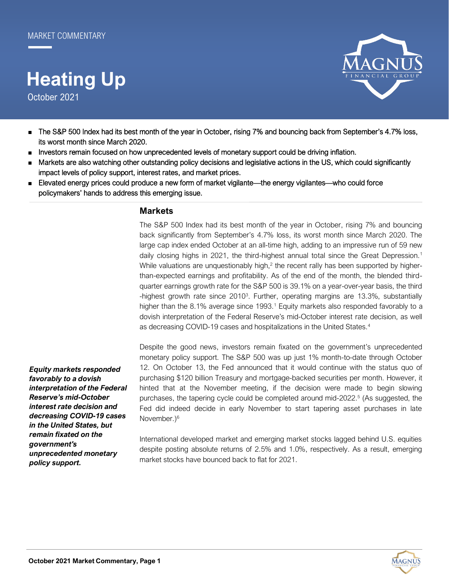# **Heating Up**

October 2021



- The S&P 500 Index had its best month of the year in October, rising 7% and bouncing back from September's 4.7% loss, its worst month since March 2020.
- Investors remain focused on how unprecedented levels of monetary support could be driving inflation.
- Markets are also watching other outstanding policy decisions and legislative actions in the US, which could significantly impact levels of policy support, interest rates, and market prices.
- Elevated energy prices could produce a new form of market vigilante—the energy vigilantes—who could force policymakers' hands to address this emerging issue.

## **Markets**

The S&P 500 Index had its best month of the year in October, rising 7% and bouncing back significantly from September's 4.7% loss, its worst month since March 2020. The large cap index ended October at an all-time high, adding to an impressive run of 59 new daily closing highs in 2021, the third-highest annual total since the Great Depression.<sup>1</sup> While valuations are unquestionably high, $<sup>2</sup>$  the recent rally has been supported by higher-</sup> than-expected earnings and profitability. As of the end of the month, the blended thirdquarter earnings growth rate for the S&P 500 is 39.1% on a year-over-year basis, the third -highest growth rate since 2010<sup>3</sup>. Further, operating margins are 13.3%, substantially higher than the 8.1% average since 1993.<sup>1</sup> Equity markets also responded favorably to a dovish interpretation of the Federal Reserve's mid-October interest rate decision, as well as decreasing COVID-19 cases and hospitalizations in the United States.<sup>4</sup>

*Equity markets responded favorably to a dovish interpretation of the Federal Reserve's mid-October interest rate decision and decreasing COVID-19 cases in the United States, but remain fixated on the government's unprecedented monetary policy support.*

Despite the good news, investors remain fixated on the government's unprecedented monetary policy support. The S&P 500 was up just 1% month-to-date through October 12. On October 13, the Fed announced that it would continue with the status quo of purchasing \$120 billion Treasury and mortgage-backed securities per month. However, it hinted that at the November meeting, if the decision were made to begin slowing purchases, the tapering cycle could be completed around mid-2022.<sup>5</sup> (As suggested, the Fed did indeed decide in early November to start tapering asset purchases in late November.)<sup>6</sup>

International developed market and emerging market stocks lagged behind U.S. equities despite posting absolute returns of 2.5% and 1.0%, respectively. As a result, emerging market stocks have bounced back to flat for 2021.

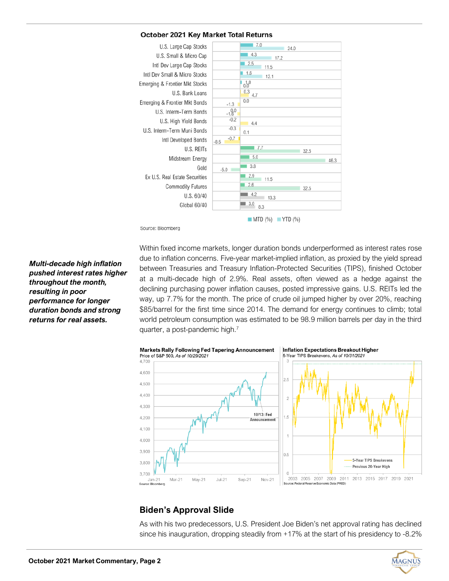## October 2021 Key Market Total Returns



Source: Bloomberg

*Multi-decade high inflation pushed interest rates higher throughout the month, resulting in poor performance for longer duration bonds and strong returns for real assets.*

Within fixed income markets, longer duration bonds underperformed as interest rates rose due to inflation concerns. Five-year market-implied inflation, as proxied by the yield spread between Treasuries and Treasury Inflation-Protected Securities (TIPS), finished October at a multi-decade high of 2.9%. Real assets, often viewed as a hedge against the declining purchasing power inflation causes, posted impressive gains. U.S. REITs led the way, up 7.7% for the month. The price of crude oil jumped higher by over 20%, reaching \$85/barrel for the first time since 2014. The demand for energy continues to climb; total world petroleum consumption was estimated to be 98.9 million barrels per day in the third quarter, a post-pandemic high.<sup>7</sup>



# **Biden's Approval Slide**

As with his two predecessors, U.S. President Joe Biden's net approval rating has declined since his inauguration, dropping steadily from +17% at the start of his presidency to -8.2%

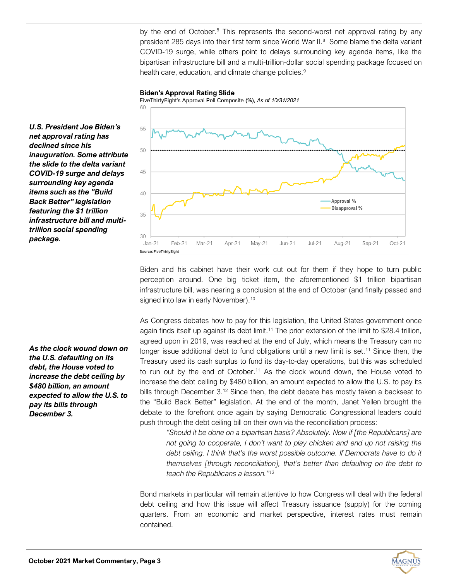by the end of October.<sup>8</sup> This represents the second-worst net approval rating by any president 285 days into their first term since World War II. $^8$  Some blame the delta variant COVID-19 surge, while others point to delays surrounding key agenda items, like the bipartisan infrastructure bill and a multi-trillion-dollar social spending package focused on health care, education, and climate change policies.<sup>9</sup>

#### **Biden's Approval Rating Slide**

FiveThirtyEight's Approval Poll Composite (%), As of 10/31/2021

*U.S. President Joe Biden's net approval rating has declined since his inauguration. Some attribute the slide to the delta variant COVID-19 surge and delays surrounding key agenda items such as the "Build Back Better" legislation featuring the \$1 trillion infrastructure bill and multitrillion social spending package.*

*As the clock wound down on the U.S. defaulting on its debt, the House voted to increase the debt ceiling by \$480 billion, an amount expected to allow the U.S. to pay its bills through December 3.*



Biden and his cabinet have their work cut out for them if they hope to turn public perception around. One big ticket item, the aforementioned \$1 trillion bipartisan infrastructure bill, was nearing a conclusion at the end of October (and finally passed and signed into law in early November).<sup>10</sup>

As Congress debates how to pay for this legislation, the United States government once again finds itself up against its debt limit.<sup>11</sup> The prior extension of the limit to \$28.4 trillion, agreed upon in 2019, was reached at the end of July, which means the Treasury can no longer issue additional debt to fund obligations until a new limit is set.<sup>11</sup> Since then, the Treasury used its cash surplus to fund its day-to-day operations, but this was scheduled to run out by the end of October.<sup>11</sup> As the clock wound down, the House voted to increase the debt ceiling by \$480 billion, an amount expected to allow the U.S. to pay its bills through December 3.<sup>12</sup> Since then, the debt debate has mostly taken a backseat to the "Build Back Better" legislation. At the end of the month, Janet Yellen brought the debate to the forefront once again by saying Democratic Congressional leaders could push through the debt ceiling bill on their own via the reconciliation process:

*"Should it be done on a bipartisan basis? Absolutely. Now if [the Republicans] are not going to cooperate, I don't want to play chicken and end up not raising the debt ceiling. I think that's the worst possible outcome. If Democrats have to do it themselves [through reconciliation], that's better than defaulting on the debt to teach the Republicans a lesson." 13*

Bond markets in particular will remain attentive to how Congress will deal with the federal debt ceiling and how this issue will affect Treasury issuance (supply) for the coming quarters. From an economic and market perspective, interest rates must remain contained.

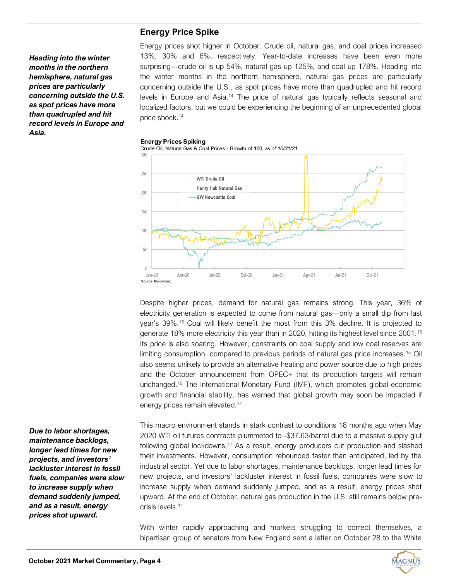*Heading into the winter months in the northern hemisphere, natural gas prices are particularly concerning outside the U.S. as spot prices have more than quadrupled and hit record levels in Europe and Asia.*

# **Energy Price Spike**

Energy prices shot higher in October. Crude oil, natural gas, and coal prices increased 13%, 30% and 6%, respectively. Year-to-date increases have been even more surprising—crude oil is up 54%, natural gas up 125%, and coal up 178%. Heading into the winter months in the northern hemisphere, natural gas prices are particularly concerning outside the U.S., as spot prices have more than quadrupled and hit record levels in Europe and Asia.<sup>14</sup> The price of natural gas typically reflects seasonal and localized factors, but we could be experiencing the beginning of an unprecedented global price shock.<sup>14</sup>

### **Energy Prices Spiking**





Despite higher prices, demand for natural gas remains strong. This year, 36% of electricity generation is expected to come from natural gas—only a small dip from last year's 39%.<sup>15</sup> Coal will likely benefit the most from this 3% decline. It is projected to generate 18% more electricity this year than in 2020, hitting its highest level since 2001.<sup>15</sup> Its price is also soaring. However, constraints on coal supply and low coal reserves are limiting consumption, compared to previous periods of natural gas price increases.<sup>15</sup> Oil also seems unlikely to provide an alternative heating and power source due to high prices and the October announcement from OPEC+ that its production targets will remain unchanged.<sup>16</sup> The International Monetary Fund (IMF), which promotes global economic growth and financial stability, has warned that global growth may soon be impacted if energy prices remain elevated.<sup>14</sup>

This macro environment stands in stark contrast to conditions 18 months ago when May 2020 WTI oil futures contracts plummeted to -\$37.63/barrel due to a massive supply glut following global lockdowns.<sup>17</sup> As a result, energy producers cut production and slashed their investments. However, consumption rebounded faster than anticipated, led by the industrial sector. Yet due to labor shortages, maintenance backlogs, longer lead times for new projects, and investors' lackluster interest in fossil fuels, companies were slow to increase supply when demand suddenly jumped, and as a result, energy prices shot upward. At the end of October, natural gas production in the U.S. still remains below precrisis levels.<sup>14</sup>

With winter rapidly approaching and markets struggling to correct themselves, a bipartisan group of senators from New England sent a letter on October 28 to the White

*Due to labor shortages, maintenance backlogs, longer lead times for new projects, and investors' lackluster interest in fossil fuels, companies were slow to increase supply when demand suddenly jumped, and as a result, energy prices shot upward.*

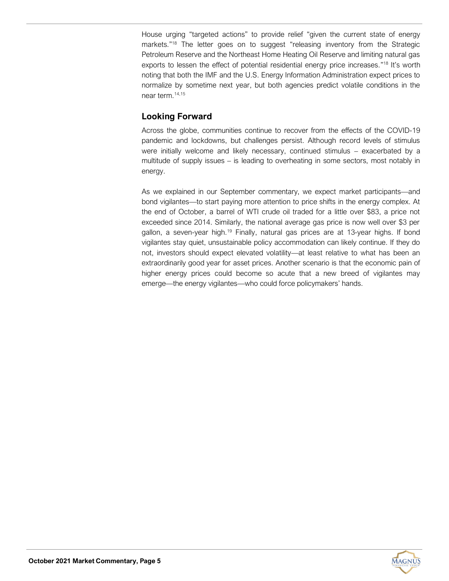House urging "targeted actions" to provide relief "given the current state of energy markets."<sup>18</sup> The letter goes on to suggest "releasing inventory from the Strategic Petroleum Reserve and the Northeast Home Heating Oil Reserve and limiting natural gas exports to lessen the effect of potential residential energy price increases."<sup>18</sup> It's worth noting that both the IMF and the U.S. Energy Information Administration expect prices to normalize by sometime next year, but both agencies predict volatile conditions in the near term  $14,15$ 

# **Looking Forward**

Across the globe, communities continue to recover from the effects of the COVID-19 pandemic and lockdowns, but challenges persist. Although record levels of stimulus were initially welcome and likely necessary, continued stimulus – exacerbated by a multitude of supply issues – is leading to overheating in some sectors, most notably in energy.

As we explained in our September commentary, we expect market participants—and bond vigilantes—to start paying more attention to price shifts in the energy complex. At the end of October, a barrel of WTI crude oil traded for a little over \$83, a price not exceeded since 2014. Similarly, the national average gas price is now well over \$3 per gallon, a seven-year high.<sup>19</sup> Finally, natural gas prices are at 13-year highs. If bond vigilantes stay quiet, unsustainable policy accommodation can likely continue. If they do not, investors should expect elevated volatility—at least relative to what has been an extraordinarily good year for asset prices. Another scenario is that the economic pain of higher energy prices could become so acute that a new breed of vigilantes may emerge—the energy vigilantes—who could force policymakers' hands.

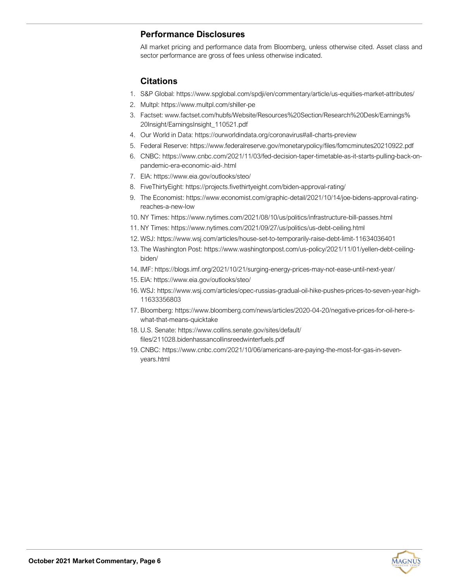# **Performance Disclosures**

All market pricing and performance data from Bloomberg, unless otherwise cited. Asset class and sector performance are gross of fees unless otherwise indicated.

# **Citations**

- 1. S&P Global: https://www.spglobal.com/spdji/en/commentary/article/us-equities-market-attributes/
- 2. Multpl: https://www.multpl.com/shiller-pe
- 3. Factset: www.factset.com/hubfs/Website/Resources%20Section/Research%20Desk/Earnings% 20Insight/EarningsInsight\_110521.pdf
- 4. Our World in Data: https://ourworldindata.org/coronavirus#all-charts-preview
- 5. Federal Reserve: https://www.federalreserve.gov/monetarypolicy/files/fomcminutes20210922.pdf
- 6. CNBC: https://www.cnbc.com/2021/11/03/fed-decision-taper-timetable-as-it-starts-pulling-back-onpandemic-era-economic-aid-.html
- 7. EIA: https://www.eia.gov/outlooks/steo/
- 8. FiveThirtyEight: https://projects.fivethirtyeight.com/biden-approval-rating/
- 9. The Economist: https://www.economist.com/graphic-detail/2021/10/14/joe-bidens-approval-ratingreaches-a-new-low
- 10. NY Times: https://www.nytimes.com/2021/08/10/us/politics/infrastructure-bill-passes.html
- 11. NY Times: https://www.nytimes.com/2021/09/27/us/politics/us-debt-ceiling.html
- 12. WSJ: https://www.wsj.com/articles/house-set-to-temporarily-raise-debt-limit-11634036401
- 13. The Washington Post: https://www.washingtonpost.com/us-policy/2021/11/01/yellen-debt-ceilingbiden/
- 14. IMF: https://blogs.imf.org/2021/10/21/surging-energy-prices-may-not-ease-until-next-year/
- 15. EIA: https://www.eia.gov/outlooks/steo/
- 16. WSJ: https://www.wsj.com/articles/opec-russias-gradual-oil-hike-pushes-prices-to-seven-year-high-11633356803
- 17. Bloomberg: https://www.bloomberg.com/news/articles/2020-04-20/negative-prices-for-oil-here-swhat-that-means-quicktake
- 18. U.S. Senate: https://www.collins.senate.gov/sites/default/ files/211028.bidenhassancollinsreedwinterfuels.pdf
- 19. CNBC: https://www.cnbc.com/2021/10/06/americans-are-paying-the-most-for-gas-in-sevenyears.html